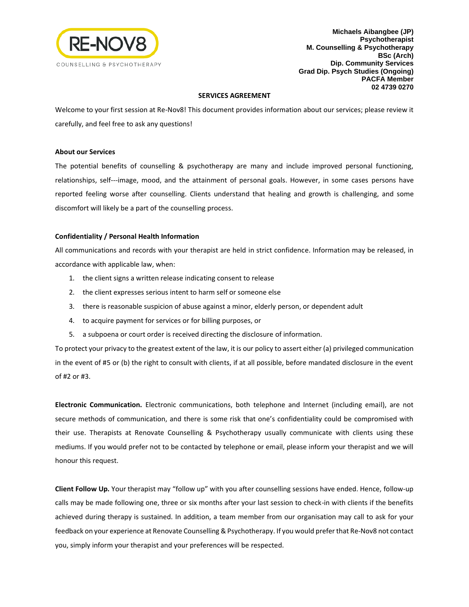

**Michaels Aibangbee (JP) Psychotherapist M. Counselling & Psychotherapy BSc (Arch) Dip. Community Services Grad Dip. Psych Studies (Ongoing) PACFA Member 02 4739 0270**

## **SERVICES AGREEMENT**

Welcome to your first session at Re-Nov8! This document provides information about our services; please review it carefully, and feel free to ask any questions!

## **About our Services**

The potential benefits of counselling & psychotherapy are many and include improved personal functioning, relationships, self---image, mood, and the attainment of personal goals. However, in some cases persons have reported feeling worse after counselling. Clients understand that healing and growth is challenging, and some discomfort will likely be a part of the counselling process.

# **Confidentiality / Personal Health Information**

All communications and records with your therapist are held in strict confidence. Information may be released, in accordance with applicable law, when:

- 1. the client signs a written release indicating consent to release
- 2. the client expresses serious intent to harm self or someone else
- 3. there is reasonable suspicion of abuse against a minor, elderly person, or dependent adult
- 4. to acquire payment for services or for billing purposes, or
- 5. a subpoena or court order is received directing the disclosure of information.

To protect your privacy to the greatest extent of the law, it is our policy to assert either (a) privileged communication in the event of #5 or (b) the right to consult with clients, if at all possible, before mandated disclosure in the event of #2 or #3.

**Electronic Communication.** Electronic communications, both telephone and Internet (including email), are not secure methods of communication, and there is some risk that one's confidentiality could be compromised with their use. Therapists at Renovate Counselling & Psychotherapy usually communicate with clients using these mediums. If you would prefer not to be contacted by telephone or email, please inform your therapist and we will honour this request.

**Client Follow Up.** Your therapist may "follow up" with you after counselling sessions have ended. Hence, follow-up calls may be made following one, three or six months after your last session to check-in with clients if the benefits achieved during therapy is sustained. In addition, a team member from our organisation may call to ask for your feedback on your experience at Renovate Counselling & Psychotherapy. If you would prefer that Re-Nov8 not contact you, simply inform your therapist and your preferences will be respected.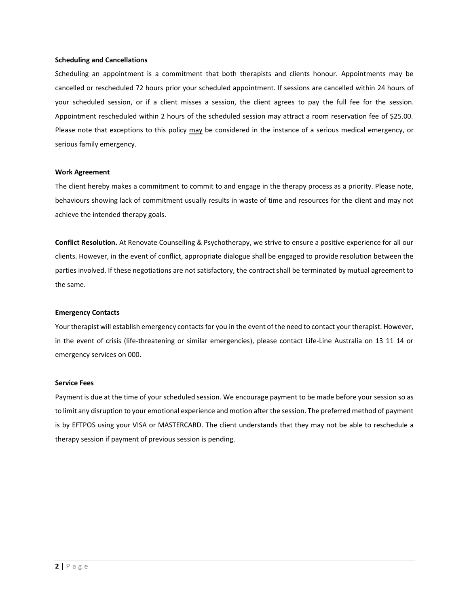#### **Scheduling and Cancellations**

Scheduling an appointment is a commitment that both therapists and clients honour. Appointments may be cancelled or rescheduled 72 hours prior your scheduled appointment. If sessions are cancelled within 24 hours of your scheduled session, or if a client misses a session, the client agrees to pay the full fee for the session. Appointment rescheduled within 2 hours of the scheduled session may attract a room reservation fee of \$25.00. Please note that exceptions to this policy may be considered in the instance of a serious medical emergency, or serious family emergency.

#### **Work Agreement**

The client hereby makes a commitment to commit to and engage in the therapy process as a priority. Please note, behaviours showing lack of commitment usually results in waste of time and resources for the client and may not achieve the intended therapy goals.

**Conflict Resolution.** At Renovate Counselling & Psychotherapy, we strive to ensure a positive experience for all our clients. However, in the event of conflict, appropriate dialogue shall be engaged to provide resolution between the parties involved. If these negotiations are not satisfactory, the contract shall be terminated by mutual agreement to the same.

#### **Emergency Contacts**

Your therapist will establish emergency contacts for you in the event of the need to contact your therapist. However, in the event of crisis (life-threatening or similar emergencies), please contact Life-Line Australia on 13 11 14 or emergency services on 000.

## **Service Fees**

Payment is due at the time of your scheduled session. We encourage payment to be made before your session so as to limit any disruption to your emotional experience and motion after the session. The preferred method of payment is by EFTPOS using your VISA or MASTERCARD. The client understands that they may not be able to reschedule a therapy session if payment of previous session is pending.